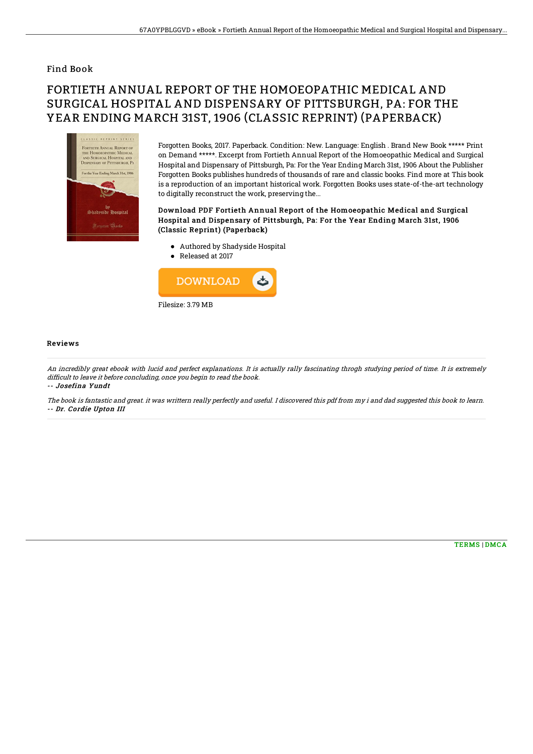### Find Book

# FORTIETH ANNUAL REPORT OF THE HOMOEOPATHIC MEDICAL AND SURGICAL HOSPITAL AND DISPENSARY OF PITTSBURGH, PA: FOR THE YEAR ENDING MARCH 31ST, 1906 (CLASSIC REPRINT) (PAPERBACK)



Forgotten Books, 2017. Paperback. Condition: New. Language: English . Brand New Book \*\*\*\*\* Print on Demand \*\*\*\*\*. Excerpt from Fortieth Annual Report of the Homoeopathic Medical and Surgical Hospital and Dispensary of Pittsburgh, Pa: For the Year Ending March 31st, 1906 About the Publisher Forgotten Books publishes hundreds of thousands of rare and classic books. Find more at This book is a reproduction of an important historical work. Forgotten Books uses state-of-the-art technology to digitally reconstruct the work, preserving the...

#### Download PDF Fortieth Annual Report of the Homoeopathic Medical and Surgical Hospital and Dispensary of Pittsburgh, Pa: For the Year Ending March 31st, 1906 (Classic Reprint) (Paperback)

- Authored by Shadyside Hospital
- Released at 2017



#### Reviews

An incredibly great ebook with lucid and perfect explanations. It is actually rally fascinating throgh studying period of time. It is extremely difficult to leave it before concluding, once you begin to read the book. -- Josefina Yundt

The book is fantastic and great. it was writtern really perfectly and useful. I discovered this pdf from my i and dad suggested this book to learn. -- Dr. Cordie Upton III